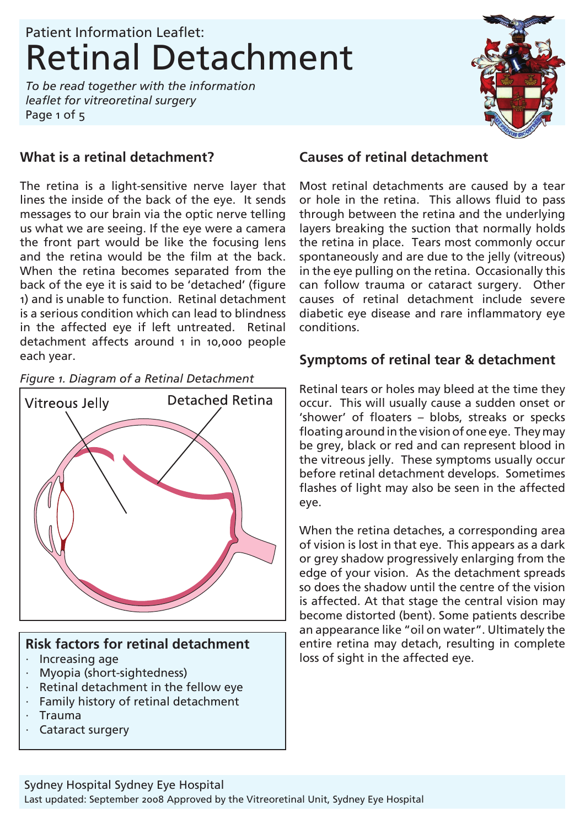*To be read together with the information leaflet for vitreoretinal surgery* Page 1 of 5



### **What is a retinal detachment?**

The retina is a light-sensitive nerve layer that lines the inside of the back of the eye. It sends messages to our brain via the optic nerve telling us what we are seeing. If the eye were a camera the front part would be like the focusing lens and the retina would be the film at the back. When the retina becomes separated from the back of the eye it is said to be 'detached' (figure 1) and is unable to function. Retinal detachment is a serious condition which can lead to blindness in the affected eye if left untreated. Retinal detachment affects around 1 in 10,000 people each year.

*Figure 1. Diagram of a Retinal Detachment*



#### **Risk factors for retinal detachment**

- · Increasing age
- · Myopia (short-sightedness)
- · Retinal detachment in the fellow eye
- · Family history of retinal detachment
- · Trauma
- Cataract surgery

### **Causes of retinal detachment**

Most retinal detachments are caused by a tear or hole in the retina. This allows fluid to pass through between the retina and the underlying layers breaking the suction that normally holds the retina in place. Tears most commonly occur spontaneously and are due to the jelly (vitreous) in the eye pulling on the retina. Occasionally this can follow trauma or cataract surgery. Other causes of retinal detachment include severe diabetic eye disease and rare inflammatory eye conditions.

#### **Symptoms of retinal tear & detachment**

Retinal tears or holes may bleed at the time they occur. This will usually cause a sudden onset or 'shower' of floaters – blobs, streaks or specks floating around in the vision of one eye. They may be grey, black or red and can represent blood in the vitreous jelly. These symptoms usually occur before retinal detachment develops. Sometimes flashes of light may also be seen in the affected eye.

When the retina detaches, a corresponding area of vision is lost in that eye. This appears as a dark or grey shadow progressively enlarging from the edge of your vision. As the detachment spreads so does the shadow until the centre of the vision is affected. At that stage the central vision may become distorted (bent). Some patients describe an appearance like "oil on water". Ultimately the entire retina may detach, resulting in complete loss of sight in the affected eye.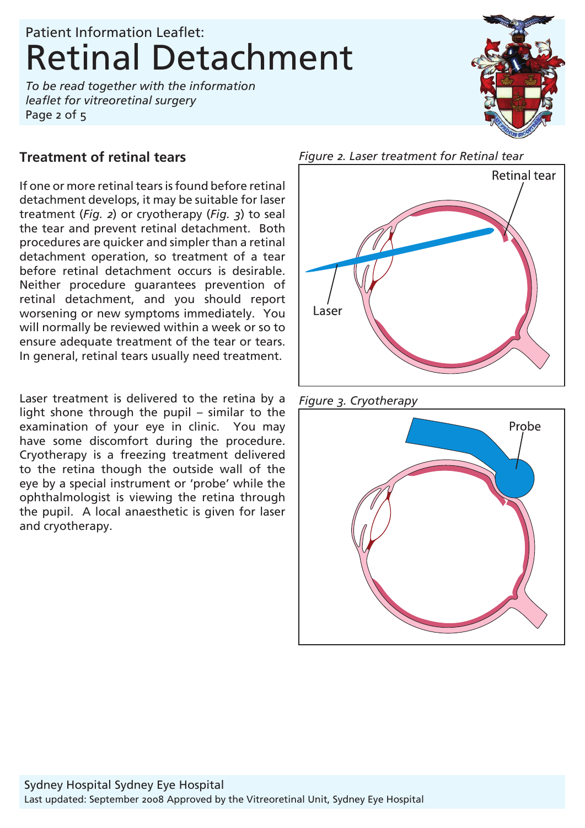*To be read together with the information leaflet for vitreoretinal surgery* Page 2 of 5

### **Treatment of retinal tears**

If one or more retinal tears is found before retinal detachment develops, it may be suitable for laser treatment (*Fig. 2*) or cryotherapy (*Fig. 3*) to seal the tear and prevent retinal detachment. Both procedures are quicker and simpler than a retinal detachment operation, so treatment of a tear before retinal detachment occurs is desirable. Neither procedure guarantees prevention of retinal detachment, and you should report worsening or new symptoms immediately. You will normally be reviewed within a week or so to ensure adequate treatment of the tear or tears. In general, retinal tears usually need treatment.

Laser treatment is delivered to the retina by a light shone through the pupil – similar to the examination of your eye in clinic. You may have some discomfort during the procedure. Cryotherapy is a freezing treatment delivered to the retina though the outside wall of the eye by a special instrument or 'probe' while the ophthalmologist is viewing the retina through the pupil. A local anaesthetic is given for laser and cryotherapy.



*Figure 3. Cryotherapy* 



*Figure 2. Laser treatment for Retinal tear*

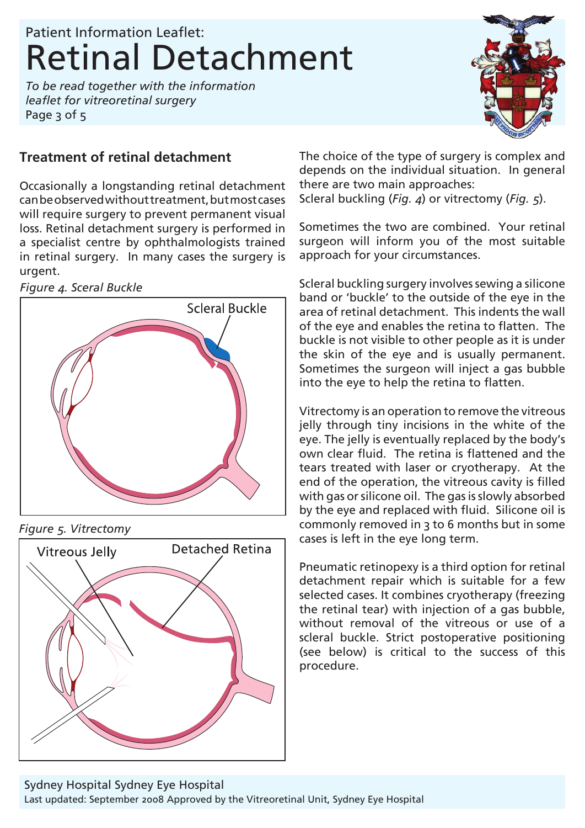*To be read together with the information leaflet for vitreoretinal surgery* Page 3 of 5



## **Treatment of retinal detachment**

Occasionally a longstanding retinal detachment can be observed without treatment, but most cases will require surgery to prevent permanent visual loss. Retinal detachment surgery is performed in a specialist centre by ophthalmologists trained in retinal surgery. In many cases the surgery is urgent.

*Figure 4. Sceral Buckle* 



*Figure 5. Vitrectomy* 



The choice of the type of surgery is complex and depends on the individual situation. In general there are two main approaches: Scleral buckling (*Fig. 4*) or vitrectomy (*Fig. 5*).

Sometimes the two are combined. Your retinal surgeon will inform you of the most suitable approach for your circumstances.

Scleral buckling surgery involves sewing a silicone band or 'buckle' to the outside of the eye in the area of retinal detachment. This indents the wall of the eye and enables the retina to flatten. The buckle is not visible to other people as it is under the skin of the eye and is usually permanent. Sometimes the surgeon will inject a gas bubble into the eye to help the retina to flatten.

Vitrectomy is an operation to remove the vitreous jelly through tiny incisions in the white of the eye. The jelly is eventually replaced by the body's own clear fluid. The retina is flattened and the tears treated with laser or cryotherapy. At the end of the operation, the vitreous cavity is filled with gas or silicone oil. The gas is slowly absorbed by the eye and replaced with fluid. Silicone oil is commonly removed in 3 to 6 months but in some cases is left in the eye long term.

Pneumatic retinopexy is a third option for retinal detachment repair which is suitable for a few selected cases. It combines cryotherapy (freezing the retinal tear) with injection of a gas bubble, without removal of the vitreous or use of a scleral buckle. Strict postoperative positioning (see below) is critical to the success of this procedure.

Last updated: September 2008 Approved by the Vitreoretinal Unit, Sydney Eye Hospital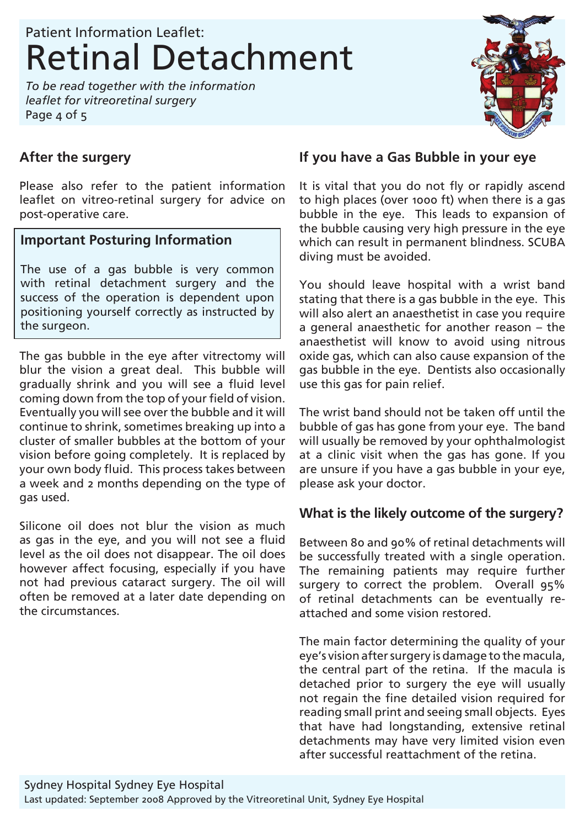*To be read together with the information leaflet for vitreoretinal surgery* Page 4 of 5



### **After the surgery**

Please also refer to the patient information leaflet on vitreo-retinal surgery for advice on post-operative care.

#### **Important Posturing Information**

The use of a gas bubble is very common with retinal detachment surgery and the success of the operation is dependent upon positioning yourself correctly as instructed by the surgeon.

The gas bubble in the eye after vitrectomy will blur the vision a great deal. This bubble will gradually shrink and you will see a fluid level coming down from the top of your field of vision. Eventually you will see over the bubble and it will continue to shrink, sometimes breaking up into a cluster of smaller bubbles at the bottom of your vision before going completely. It is replaced by your own body fluid. This process takes between a week and 2 months depending on the type of gas used.

Silicone oil does not blur the vision as much as gas in the eye, and you will not see a fluid level as the oil does not disappear. The oil does however affect focusing, especially if you have not had previous cataract surgery. The oil will often be removed at a later date depending on the circumstances.

#### **If you have a Gas Bubble in your eye**

It is vital that you do not fly or rapidly ascend to high places (over 1000 ft) when there is a gas bubble in the eye. This leads to expansion of the bubble causing very high pressure in the eye which can result in permanent blindness. SCUBA diving must be avoided.

You should leave hospital with a wrist band stating that there is a gas bubble in the eye. This will also alert an anaesthetist in case you require a general anaesthetic for another reason – the anaesthetist will know to avoid using nitrous oxide gas, which can also cause expansion of the gas bubble in the eye. Dentists also occasionally use this gas for pain relief.

The wrist band should not be taken off until the bubble of gas has gone from your eye. The band will usually be removed by your ophthalmologist at a clinic visit when the gas has gone. If you are unsure if you have a gas bubble in your eye, please ask your doctor.

#### **What is the likely outcome of the surgery?**

Between 80 and 90% of retinal detachments will be successfully treated with a single operation. The remaining patients may require further surgery to correct the problem. Overall 95% of retinal detachments can be eventually reattached and some vision restored.

The main factor determining the quality of your eye's vision after surgery is damage to the macula, the central part of the retina. If the macula is detached prior to surgery the eye will usually not regain the fine detailed vision required for reading small print and seeing small objects. Eyes that have had longstanding, extensive retinal detachments may have very limited vision even after successful reattachment of the retina.